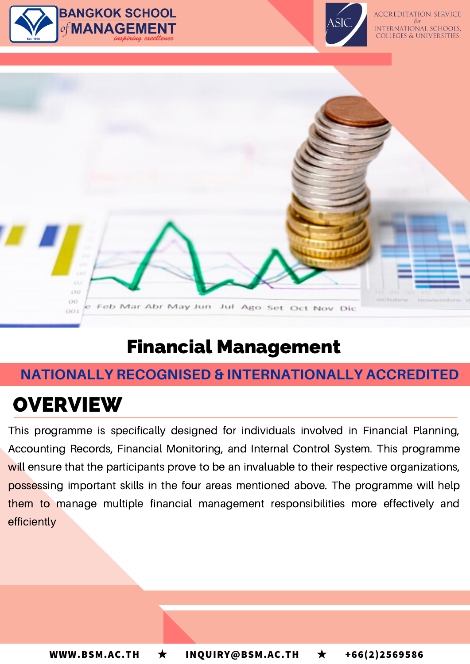

#### Feb Mar Abr May Jun Jul Ago Set Oct Nov Dic

# Financial Management

## **NATIONALLY RECOGNISED & INTERNATIONALLY ACCREDITED**

# **OVERVIEW**

OO L

This programme is specifically designed for individuals involved in Financial Planning, Accounting Records, Financial Monitoring, and Internal Control System. This programme will ensure that the participants prove to be an invaluable to their respective organizations, possessing important skills in the four areas mentioned above. The programme will help them to manage multiple financial management responsibilities more effectively and efficiently